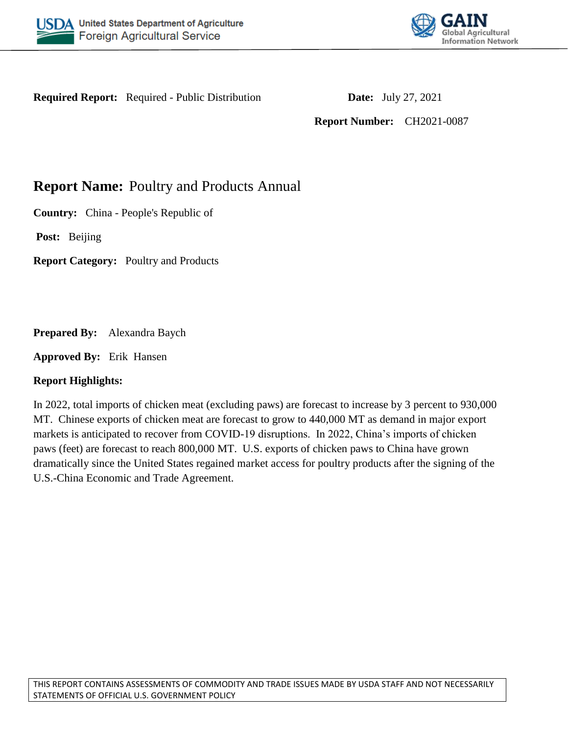



**Required Report:** Required - Public Distribution **Date:** July 27, 2021

**Report Number:** CH2021-0087

# **Report Name: Poultry and Products Annual**

**Country:** China - People's Republic of

**Post:** Beijing

**Report Category:** Poultry and Products

**Prepared By:** Alexandra Baych

**Approved By:** Erik Hansen

### **Report Highlights:**

In 2022, total imports of chicken meat (excluding paws) are forecast to increase by 3 percent to 930,000 MT. Chinese exports of chicken meat are forecast to grow to 440,000 MT as demand in major export markets is anticipated to recover from COVID-19 disruptions. In 2022, China's imports of chicken paws (feet) are forecast to reach 800,000 MT. U.S. exports of chicken paws to China have grown dramatically since the United States regained market access for poultry products after the signing of the U.S.-China Economic and Trade Agreement.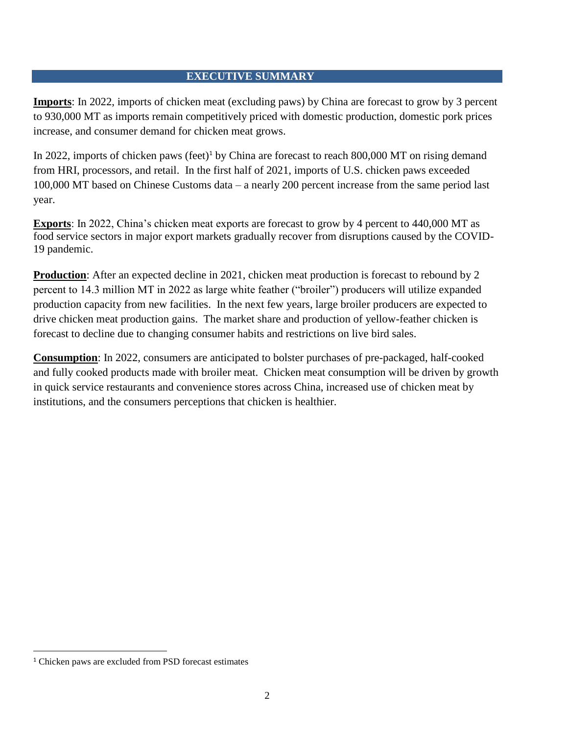### **EXECUTIVE SUMMARY**

**Imports**: In 2022, imports of chicken meat (excluding paws) by China are forecast to grow by 3 percent to 930,000 MT as imports remain competitively priced with domestic production, domestic pork prices increase, and consumer demand for chicken meat grows.

In 2022, imports of chicken paws (feet)<sup>1</sup> by China are forecast to reach  $800,000$  MT on rising demand from HRI, processors, and retail. In the first half of 2021, imports of U.S. chicken paws exceeded 100,000 MT based on Chinese Customs data – a nearly 200 percent increase from the same period last year.

**Exports**: In 2022, China's chicken meat exports are forecast to grow by 4 percent to 440,000 MT as food service sectors in major export markets gradually recover from disruptions caused by the COVID-19 pandemic.

**Production**: After an expected decline in 2021, chicken meat production is forecast to rebound by 2 percent to 14.3 million MT in 2022 as large white feather ("broiler") producers will utilize expanded production capacity from new facilities. In the next few years, large broiler producers are expected to drive chicken meat production gains. The market share and production of yellow-feather chicken is forecast to decline due to changing consumer habits and restrictions on live bird sales.

**Consumption**: In 2022, consumers are anticipated to bolster purchases of pre-packaged, half-cooked and fully cooked products made with broiler meat. Chicken meat consumption will be driven by growth in quick service restaurants and convenience stores across China, increased use of chicken meat by institutions, and the consumers perceptions that chicken is healthier.

 $\overline{\phantom{a}}$ 

<sup>1</sup> Chicken paws are excluded from PSD forecast estimates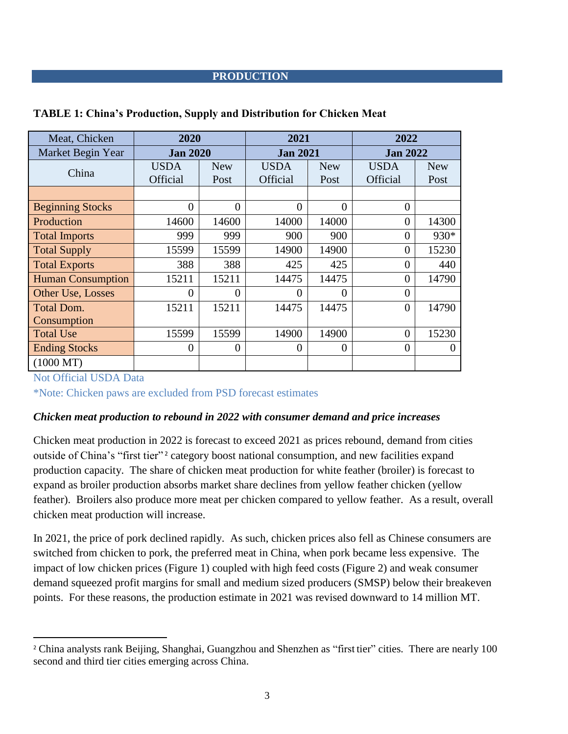### **PRODUCTION**

| Meat, Chicken            | 2020            |                | 2021            |                | 2022            |            |
|--------------------------|-----------------|----------------|-----------------|----------------|-----------------|------------|
| Market Begin Year        | <b>Jan 2020</b> |                | <b>Jan 2021</b> |                | <b>Jan 2022</b> |            |
| China                    | <b>USDA</b>     | <b>New</b>     | <b>USDA</b>     | <b>New</b>     | <b>USDA</b>     | <b>New</b> |
|                          | <b>Official</b> | Post           | Official        | Post           | <b>Official</b> | Post       |
|                          |                 |                |                 |                |                 |            |
| <b>Beginning Stocks</b>  | $\overline{0}$  | $\overline{0}$ | $\theta$        | $\overline{0}$ | $\overline{0}$  |            |
| Production               | 14600           | 14600          | 14000           | 14000          | $\overline{0}$  | 14300      |
| <b>Total Imports</b>     | 999             | 999            | 900             | 900            | 0               | 930*       |
| <b>Total Supply</b>      | 15599           | 15599          | 14900           | 14900          | 0               | 15230      |
| <b>Total Exports</b>     | 388             | 388            | 425             | 425            | 0               | 440        |
| <b>Human Consumption</b> | 15211           | 15211          | 14475           | 14475          | $\overline{0}$  | 14790      |
| Other Use, Losses        | $\theta$        | $\theta$       | $\theta$        | $\theta$       | $\theta$        |            |
| <b>Total Dom.</b>        | 15211           | 15211          | 14475           | 14475          | $\theta$        | 14790      |
| Consumption              |                 |                |                 |                |                 |            |
| <b>Total Use</b>         | 15599           | 15599          | 14900           | 14900          | $\overline{0}$  | 15230      |
| <b>Ending Stocks</b>     | $\theta$        | $\theta$       | $\theta$        | $\theta$       | $\overline{0}$  | 0          |
| $(1000 \text{ MT})$      |                 |                |                 |                |                 |            |

#### **TABLE 1: China's Production, Supply and Distribution for Chicken Meat**

Not Official USDA Data

 $\overline{\phantom{a}}$ 

\*Note: Chicken paws are excluded from PSD forecast estimates

### *Chicken meat production to rebound in 2022 with consumer demand and price increases*

Chicken meat production in 2022 is forecast to exceed 2021 as prices rebound, demand from cities outside of China's "first tier"<sup>2</sup> category boost national consumption, and new facilities expand production capacity. The share of chicken meat production for white feather (broiler) is forecast to expand as broiler production absorbs market share declines from yellow feather chicken (yellow feather). Broilers also produce more meat per chicken compared to yellow feather. As a result, overall chicken meat production will increase.

In 2021, the price of pork declined rapidly. As such, chicken prices also fell as Chinese consumers are switched from chicken to pork, the preferred meat in China, when pork became less expensive. The impact of low chicken prices (Figure 1) coupled with high feed costs (Figure 2) and weak consumer demand squeezed profit margins for small and medium sized producers (SMSP) below their breakeven points. For these reasons, the production estimate in 2021 was revised downward to 14 million MT.

<sup>&</sup>lt;sup>2</sup> China analysts rank Beijing, Shanghai, Guangzhou and Shenzhen as "first tier" cities. There are nearly 100 second and third tier cities emerging across China.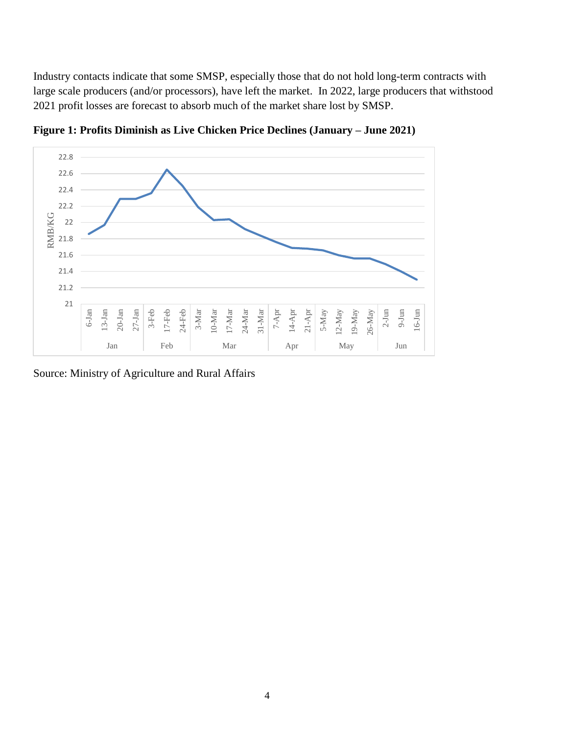Industry contacts indicate that some SMSP, especially those that do not hold long-term contracts with large scale producers (and/or processors), have left the market. In 2022, large producers that withstood 2021 profit losses are forecast to absorb much of the market share lost by SMSP.



**Figure 1: Profits Diminish as Live Chicken Price Declines (January – June 2021)**

Source: Ministry of Agriculture and Rural Affairs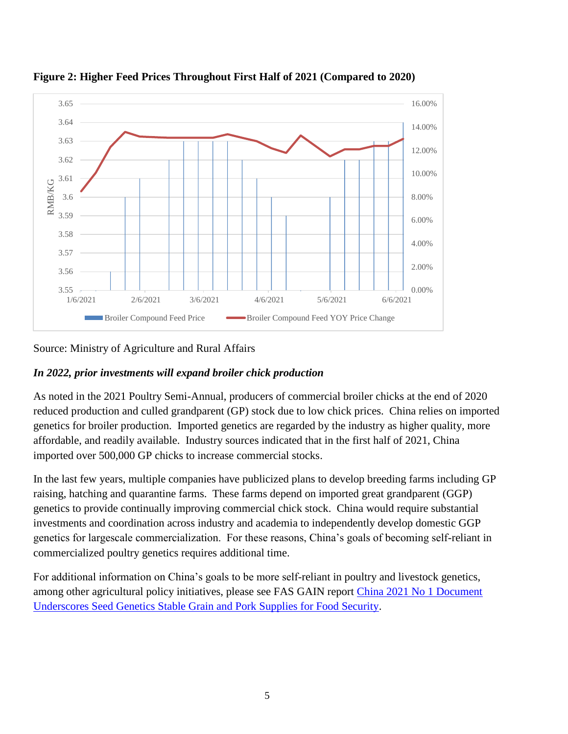

**Figure 2: Higher Feed Prices Throughout First Half of 2021 (Compared to 2020)** 

Source: Ministry of Agriculture and Rural Affairs

### *In 2022, prior investments will expand broiler chick production*

As noted in the 2021 Poultry Semi-Annual, producers of commercial broiler chicks at the end of 2020 reduced production and culled grandparent (GP) stock due to low chick prices. China relies on imported genetics for broiler production. Imported genetics are regarded by the industry as higher quality, more affordable, and readily available. Industry sources indicated that in the first half of 2021, China imported over 500,000 GP chicks to increase commercial stocks.

In the last few years, multiple companies have publicized plans to develop breeding farms including GP raising, hatching and quarantine farms. These farms depend on imported great grandparent (GGP) genetics to provide continually improving commercial chick stock. China would require substantial investments and coordination across industry and academia to independently develop domestic GGP genetics for largescale commercialization. For these reasons, China's goals of becoming self-reliant in commercialized poultry genetics requires additional time.

For additional information on China's goals to be more self-reliant in poultry and livestock genetics, among other agricultural policy initiatives, please see FAS GAIN report [China 2021 No 1 Document](https://apps.fas.usda.gov/newgainapi/api/Report/DownloadReportByFileName?fileName=China%202021%20No%201%20Document%20Underscores%20Seed%20Genetics%20Stable%20Grain%20and%20Pork%20Supplies%20for%20Food%20Security_Beijing_China%20-%20People%27s%20Republic%20of_03-31-2021)  [Underscores Seed Genetics Stable Grain and Pork Supplies for Food Security.](https://apps.fas.usda.gov/newgainapi/api/Report/DownloadReportByFileName?fileName=China%202021%20No%201%20Document%20Underscores%20Seed%20Genetics%20Stable%20Grain%20and%20Pork%20Supplies%20for%20Food%20Security_Beijing_China%20-%20People%27s%20Republic%20of_03-31-2021)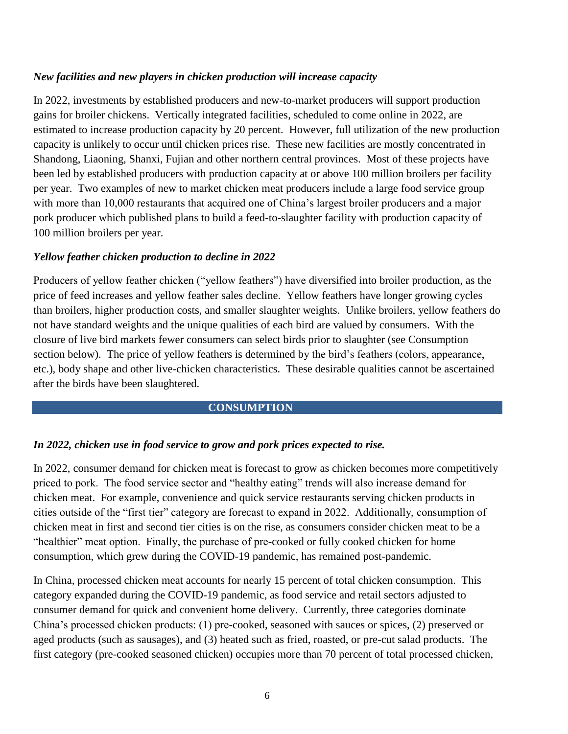### *New facilities and new players in chicken production will increase capacity*

In 2022, investments by established producers and new-to-market producers will support production gains for broiler chickens. Vertically integrated facilities, scheduled to come online in 2022, are estimated to increase production capacity by 20 percent. However, full utilization of the new production capacity is unlikely to occur until chicken prices rise. These new facilities are mostly concentrated in Shandong, Liaoning, Shanxi, Fujian and other northern central provinces. Most of these projects have been led by established producers with production capacity at or above 100 million broilers per facility per year. Two examples of new to market chicken meat producers include a large food service group with more than 10,000 restaurants that acquired one of China's largest broiler producers and a major pork producer which published plans to build a feed-to-slaughter facility with production capacity of 100 million broilers per year.

### *Yellow feather chicken production to decline in 2022*

Producers of yellow feather chicken ("yellow feathers") have diversified into broiler production, as the price of feed increases and yellow feather sales decline. Yellow feathers have longer growing cycles than broilers, higher production costs, and smaller slaughter weights. Unlike broilers, yellow feathers do not have standard weights and the unique qualities of each bird are valued by consumers. With the closure of live bird markets fewer consumers can select birds prior to slaughter (see Consumption section below). The price of yellow feathers is determined by the bird's feathers (colors, appearance, etc.), body shape and other live-chicken characteristics. These desirable qualities cannot be ascertained after the birds have been slaughtered.

### **CONSUMPTION**

### *In 2022, chicken use in food service to grow and pork prices expected to rise.*

In 2022, consumer demand for chicken meat is forecast to grow as chicken becomes more competitively priced to pork. The food service sector and "healthy eating" trends will also increase demand for chicken meat. For example, convenience and quick service restaurants serving chicken products in cities outside of the "first tier" category are forecast to expand in 2022. Additionally, consumption of chicken meat in first and second tier cities is on the rise, as consumers consider chicken meat to be a "healthier" meat option. Finally, the purchase of pre-cooked or fully cooked chicken for home consumption, which grew during the COVID-19 pandemic, has remained post-pandemic.

In China, processed chicken meat accounts for nearly 15 percent of total chicken consumption. This category expanded during the COVID-19 pandemic, as food service and retail sectors adjusted to consumer demand for quick and convenient home delivery. Currently, three categories dominate China's processed chicken products: (1) pre-cooked, seasoned with sauces or spices, (2) preserved or aged products (such as sausages), and (3) heated such as fried, roasted, or pre-cut salad products. The first category (pre-cooked seasoned chicken) occupies more than 70 percent of total processed chicken,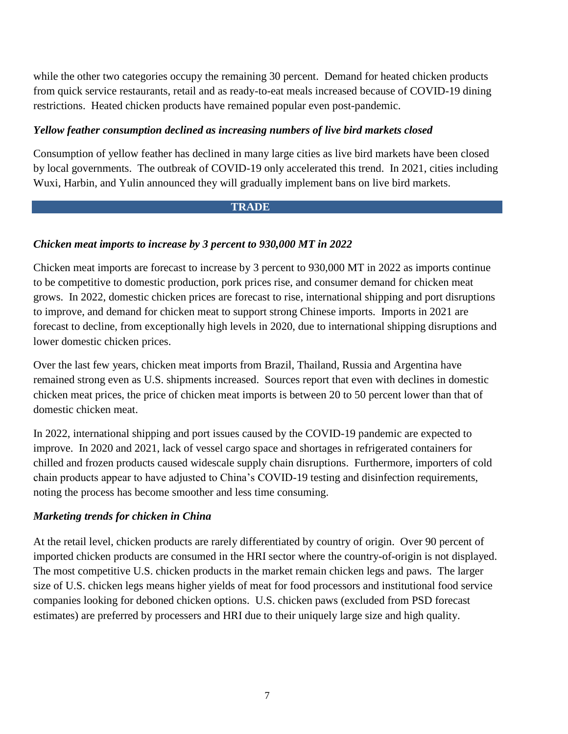while the other two categories occupy the remaining 30 percent. Demand for heated chicken products from quick service restaurants, retail and as ready-to-eat meals increased because of COVID-19 dining restrictions. Heated chicken products have remained popular even post-pandemic.

### *Yellow feather consumption declined as increasing numbers of live bird markets closed*

Consumption of yellow feather has declined in many large cities as live bird markets have been closed by local governments. The outbreak of COVID-19 only accelerated this trend. In 2021, cities including Wuxi, Harbin, and Yulin announced they will gradually implement bans on live bird markets.

#### **TRADE**

#### *Chicken meat imports to increase by 3 percent to 930,000 MT in 2022*

Chicken meat imports are forecast to increase by 3 percent to 930,000 MT in 2022 as imports continue to be competitive to domestic production, pork prices rise, and consumer demand for chicken meat grows. In 2022, domestic chicken prices are forecast to rise, international shipping and port disruptions to improve, and demand for chicken meat to support strong Chinese imports. Imports in 2021 are forecast to decline, from exceptionally high levels in 2020, due to international shipping disruptions and lower domestic chicken prices.

Over the last few years, chicken meat imports from Brazil, Thailand, Russia and Argentina have remained strong even as U.S. shipments increased. Sources report that even with declines in domestic chicken meat prices, the price of chicken meat imports is between 20 to 50 percent lower than that of domestic chicken meat.

In 2022, international shipping and port issues caused by the COVID-19 pandemic are expected to improve. In 2020 and 2021, lack of vessel cargo space and shortages in refrigerated containers for chilled and frozen products caused widescale supply chain disruptions. Furthermore, importers of cold chain products appear to have adjusted to China's COVID-19 testing and disinfection requirements, noting the process has become smoother and less time consuming.

#### *Marketing trends for chicken in China*

At the retail level, chicken products are rarely differentiated by country of origin. Over 90 percent of imported chicken products are consumed in the HRI sector where the country-of-origin is not displayed. The most competitive U.S. chicken products in the market remain chicken legs and paws. The larger size of U.S. chicken legs means higher yields of meat for food processors and institutional food service companies looking for deboned chicken options. U.S. chicken paws (excluded from PSD forecast estimates) are preferred by processers and HRI due to their uniquely large size and high quality.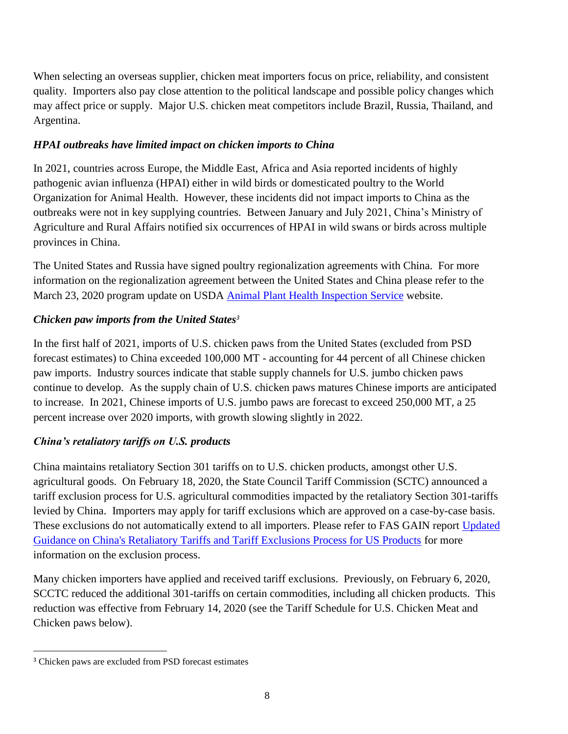When selecting an overseas supplier, chicken meat importers focus on price, reliability, and consistent quality. Importers also pay close attention to the political landscape and possible policy changes which may affect price or supply. Major U.S. chicken meat competitors include Brazil, Russia, Thailand, and Argentina.

### *HPAI outbreaks have limited impact on chicken imports to China*

In 2021, countries across Europe, the Middle East, Africa and Asia reported incidents of highly pathogenic avian influenza (HPAI) either in wild birds or domesticated poultry to the World Organization for Animal Health. However, these incidents did not impact imports to China as the outbreaks were not in key supplying countries. Between January and July 2021, China's Ministry of Agriculture and Rural Affairs notified six occurrences of HPAI in wild swans or birds across multiple provinces in China.

The United States and Russia have signed poultry regionalization agreements with China. For more information on the regionalization agreement between the United States and China please refer to the March 23, 2020 program update on USDA [Animal Plant Health Inspection Service](https://www.aphis.usda.gov/aphis/newsroom/stakeholder-info/sa_by_date/sa-2020/sa-03/poultry-agreement-china) website.

# *Chicken paw imports from the United States<sup>3</sup>*

In the first half of 2021, imports of U.S. chicken paws from the United States (excluded from PSD forecast estimates) to China exceeded 100,000 MT - accounting for 44 percent of all Chinese chicken paw imports. Industry sources indicate that stable supply channels for U.S. jumbo chicken paws continue to develop. As the supply chain of U.S. chicken paws matures Chinese imports are anticipated to increase. In 2021, Chinese imports of U.S. jumbo paws are forecast to exceed 250,000 MT, a 25 percent increase over 2020 imports, with growth slowing slightly in 2022.

# *China's retaliatory tariffs on U.S. products*

China maintains retaliatory Section 301 tariffs on to U.S. chicken products, amongst other U.S. agricultural goods. On February 18, 2020, the State Council Tariff Commission (SCTC) announced a tariff exclusion process for U.S. agricultural commodities impacted by the retaliatory Section 301-tariffs levied by China. Importers may apply for tariff exclusions which are approved on a case-by-case basis. These exclusions do not automatically extend to all importers. Please refer to FAS GAIN report [Updated](https://apps.fas.usda.gov/newgainapi/api/Report/DownloadReportByFileName?fileName=Updated%20Guidance%20on%20China%27s%20Retaliatory%20Tariffs%20and%20Tariff%20Exclusions%20Process%20for%20US%20Products_Beijing_China%20-%20Peoples%20Republic%20of_08-04-2020)  [Guidance on China's Retaliatory Tariffs and Tariff Exclusions Process for US Products](https://apps.fas.usda.gov/newgainapi/api/Report/DownloadReportByFileName?fileName=Updated%20Guidance%20on%20China%27s%20Retaliatory%20Tariffs%20and%20Tariff%20Exclusions%20Process%20for%20US%20Products_Beijing_China%20-%20Peoples%20Republic%20of_08-04-2020) for more information on the exclusion process.

Many chicken importers have applied and received tariff exclusions. Previously, on February 6, 2020, SCCTC reduced the additional 301-tariffs on certain commodities, including all chicken products. This reduction was effective from February 14, 2020 (see the Tariff Schedule for U.S. Chicken Meat and Chicken paws below).

 $\overline{\phantom{a}}$ 

<sup>3</sup> Chicken paws are excluded from PSD forecast estimates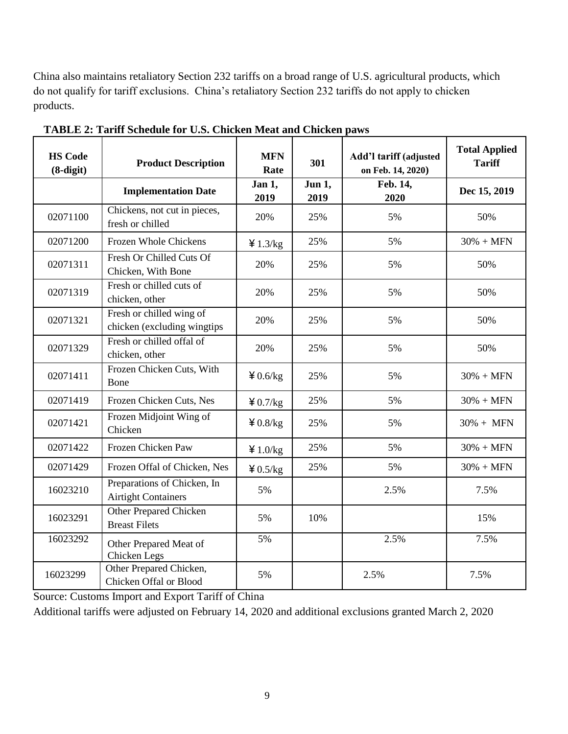China also maintains retaliatory Section 232 tariffs on a broad range of U.S. agricultural products, which do not qualify for tariff exclusions. China's retaliatory Section 232 tariffs do not apply to chicken products.

| <b>HS Code</b><br>$(8-digit)$ | <b>Product Description</b>                                | <b>MFN</b><br>Rate | 301            | Add'l tariff (adjusted<br>on Feb. 14, 2020) | <b>Total Applied</b><br><b>Tariff</b> |
|-------------------------------|-----------------------------------------------------------|--------------------|----------------|---------------------------------------------|---------------------------------------|
|                               | <b>Implementation Date</b>                                | Jan 1,<br>2019     | Jun 1,<br>2019 | Feb. 14,<br>2020                            | Dec 15, 2019                          |
| 02071100                      | Chickens, not cut in pieces,<br>fresh or chilled          | 20%                | 25%            | 5%                                          | 50%                                   |
| 02071200                      | Frozen Whole Chickens                                     | 41.3/kg            | 25%            | 5%                                          | $30\% + MFN$                          |
| 02071311                      | Fresh Or Chilled Cuts Of<br>Chicken, With Bone            | 20%                | 25%            | 5%                                          | 50%                                   |
| 02071319                      | Fresh or chilled cuts of<br>chicken, other                | 20%                | 25%            | 5%                                          | 50%                                   |
| 02071321                      | Fresh or chilled wing of<br>chicken (excluding wingtips   | 20%                | 25%            | 5%                                          | 50%                                   |
| 02071329                      | Fresh or chilled offal of<br>chicken, other               | 20%                | 25%            | 5%                                          | 50%                                   |
| 02071411                      | Frozen Chicken Cuts, With<br>Bone                         | 40.6/kg            | 25%            | 5%                                          | $30\% + MFN$                          |
| 02071419                      | Frozen Chicken Cuts, Nes                                  | 40.7/kg            | 25%            | 5%                                          | $30\% + MFN$                          |
| 02071421                      | Frozen Midjoint Wing of<br>Chicken                        | 40.8/kg            | 25%            | 5%                                          | $30\% + MFN$                          |
| 02071422                      | Frozen Chicken Paw                                        | 41.0/kg            | 25%            | 5%                                          | $30\% + MFN$                          |
| 02071429                      | Frozen Offal of Chicken, Nes                              | 40.5/kg            | 25%            | 5%                                          | $30\% + MFN$                          |
| 16023210                      | Preparations of Chicken, In<br><b>Airtight Containers</b> | 5%                 |                | 2.5%                                        | 7.5%                                  |
| 16023291                      | Other Prepared Chicken<br><b>Breast Filets</b>            | 5%                 | 10%            |                                             | 15%                                   |
| 16023292                      | Other Prepared Meat of<br>Chicken Legs                    | 5%                 |                | 2.5%                                        | 7.5%                                  |
| 16023299                      | Other Prepared Chicken,<br>Chicken Offal or Blood         | 5%                 |                | 2.5%                                        | 7.5%                                  |

**TABLE 2: Tariff Schedule for U.S. Chicken Meat and Chicken paws**

Source: Customs Import and Export Tariff of China

Additional tariffs were adjusted on February 14, 2020 and additional exclusions granted March 2, 2020